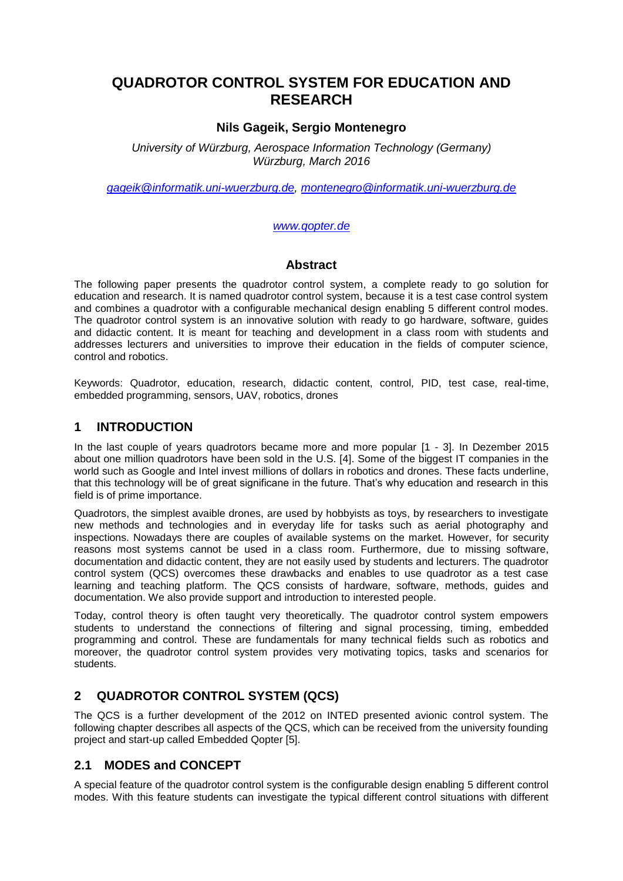# **QUADROTOR CONTROL SYSTEM FOR EDUCATION AND RESEARCH**

#### **Nils Gageik, Sergio Montenegro**

*University of Würzburg, Aerospace Information Technology (Germany) Würzburg, March 2016*

*[gageik@informatik.uni-wuerzburg.de,](mailto:gageik@informatik.uni-wuerzburg.de) [montenegro@informatik.uni-wuerzburg.de](mailto:montenegro@informatik.uni-wuerzburg.de)*

#### *[www.qopter.de](http://www.qopter.de/)*

#### **Abstract**

The following paper presents the quadrotor control system, a complete ready to go solution for education and research. It is named quadrotor control system, because it is a test case control system and combines a quadrotor with a configurable mechanical design enabling 5 different control modes. The quadrotor control system is an innovative solution with ready to go hardware, software, guides and didactic content. It is meant for teaching and development in a class room with students and addresses lecturers and universities to improve their education in the fields of computer science, control and robotics.

Keywords: Quadrotor, education, research, didactic content, control, PID, test case, real-time, embedded programming, sensors, UAV, robotics, drones

#### **1 INTRODUCTION**

In the last couple of years quadrotors became more and more popular [1 - 3]. In Dezember 2015 about one million quadrotors have been sold in the U.S. [4]. Some of the biggest IT companies in the world such as Google and Intel invest millions of dollars in robotics and drones. These facts underline, that this technology will be of great significane in the future. That's why education and research in this field is of prime importance.

Quadrotors, the simplest avaible drones, are used by hobbyists as toys, by researchers to investigate new methods and technologies and in everyday life for tasks such as aerial photography and inspections. Nowadays there are couples of available systems on the market. However, for security reasons most systems cannot be used in a class room. Furthermore, due to missing software, documentation and didactic content, they are not easily used by students and lecturers. The quadrotor control system (QCS) overcomes these drawbacks and enables to use quadrotor as a test case learning and teaching platform. The QCS consists of hardware, software, methods, guides and documentation. We also provide support and introduction to interested people.

Today, control theory is often taught very theoretically. The quadrotor control system empowers students to understand the connections of filtering and signal processing, timing, embedded programming and control. These are fundamentals for many technical fields such as robotics and moreover, the quadrotor control system provides very motivating topics, tasks and scenarios for students.

### **2 QUADROTOR CONTROL SYSTEM (QCS)**

The QCS is a further development of the 2012 on INTED presented avionic control system. The following chapter describes all aspects of the QCS, which can be received from the university founding project and start-up called Embedded Qopter [5].

#### **2.1 MODES and CONCEPT**

A special feature of the quadrotor control system is the configurable design enabling 5 different control modes. With this feature students can investigate the typical different control situations with different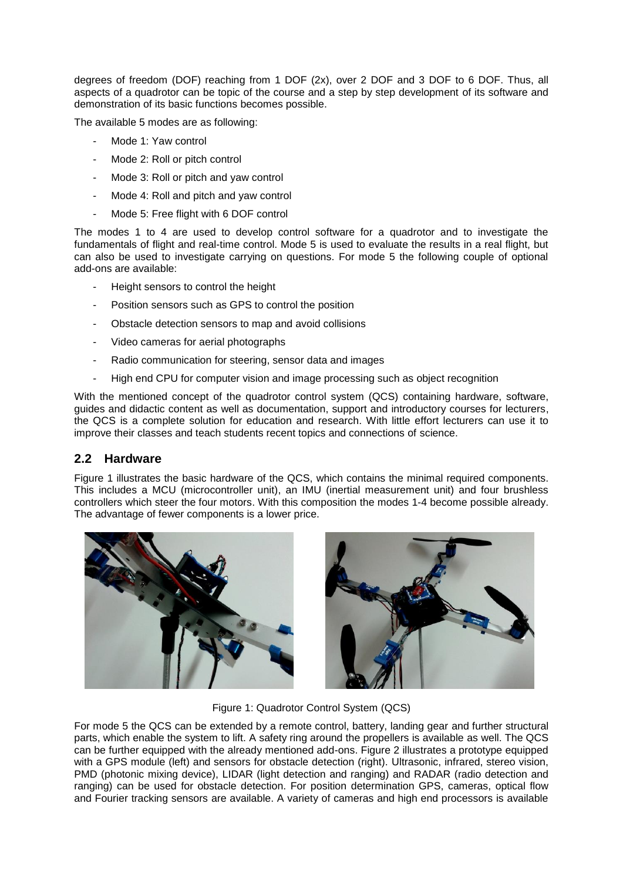degrees of freedom (DOF) reaching from 1 DOF (2x), over 2 DOF and 3 DOF to 6 DOF. Thus, all aspects of a quadrotor can be topic of the course and a step by step development of its software and demonstration of its basic functions becomes possible.

The available 5 modes are as following:

- Mode 1: Yaw control
- Mode 2: Roll or pitch control
- Mode 3: Roll or pitch and yaw control
- Mode 4: Roll and pitch and yaw control
- Mode 5: Free flight with 6 DOF control

The modes 1 to 4 are used to develop control software for a quadrotor and to investigate the fundamentals of flight and real-time control. Mode 5 is used to evaluate the results in a real flight, but can also be used to investigate carrying on questions. For mode 5 the following couple of optional add-ons are available:

- Height sensors to control the height
- Position sensors such as GPS to control the position
- Obstacle detection sensors to map and avoid collisions
- Video cameras for aerial photographs
- Radio communication for steering, sensor data and images
- High end CPU for computer vision and image processing such as object recognition

With the mentioned concept of the quadrotor control system (QCS) containing hardware, software, guides and didactic content as well as documentation, support and introductory courses for lecturers, the QCS is a complete solution for education and research. With little effort lecturers can use it to improve their classes and teach students recent topics and connections of science.

#### **2.2 Hardware**

Figure 1 illustrates the basic hardware of the QCS, which contains the minimal required components. This includes a MCU (microcontroller unit), an IMU (inertial measurement unit) and four brushless controllers which steer the four motors. With this composition the modes 1-4 become possible already. The advantage of fewer components is a lower price.





Figure 1: Quadrotor Control System (QCS)

For mode 5 the QCS can be extended by a remote control, battery, landing gear and further structural parts, which enable the system to lift. A safety ring around the propellers is available as well. The QCS can be further equipped with the already mentioned add-ons. Figure 2 illustrates a prototype equipped with a GPS module (left) and sensors for obstacle detection (right). Ultrasonic, infrared, stereo vision, PMD (photonic mixing device), LIDAR (light detection and ranging) and RADAR (radio detection and ranging) can be used for obstacle detection. For position determination GPS, cameras, optical flow and Fourier tracking sensors are available. A variety of cameras and high end processors is available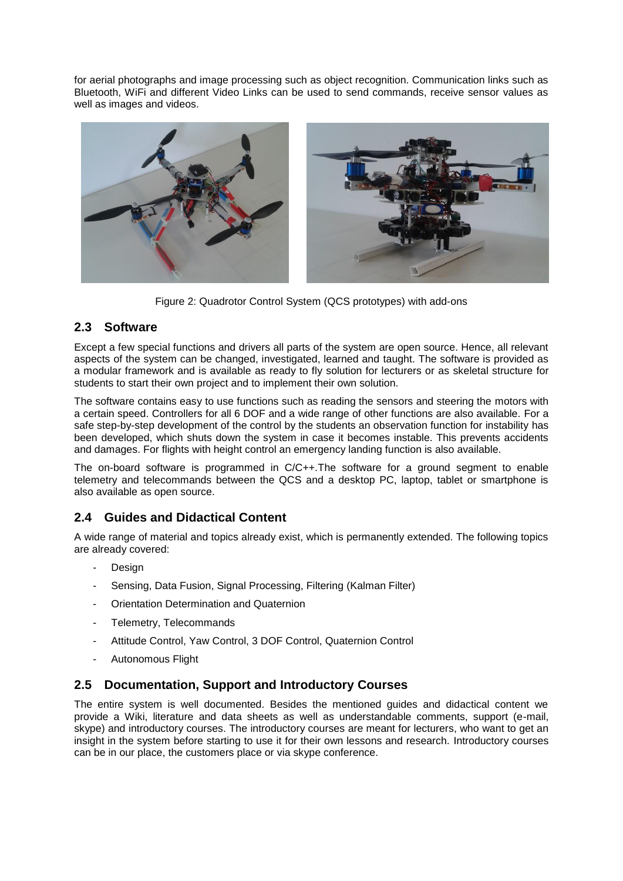for aerial photographs and image processing such as object recognition. Communication links such as Bluetooth, WiFi and different Video Links can be used to send commands, receive sensor values as well as images and videos.



Figure 2: Quadrotor Control System (QCS prototypes) with add-ons

### **2.3 Software**

Except a few special functions and drivers all parts of the system are open source. Hence, all relevant aspects of the system can be changed, investigated, learned and taught. The software is provided as a modular framework and is available as ready to fly solution for lecturers or as skeletal structure for students to start their own project and to implement their own solution.

The software contains easy to use functions such as reading the sensors and steering the motors with a certain speed. Controllers for all 6 DOF and a wide range of other functions are also available. For a safe step-by-step development of the control by the students an observation function for instability has been developed, which shuts down the system in case it becomes instable. This prevents accidents and damages. For flights with height control an emergency landing function is also available.

The on-board software is programmed in C/C++.The software for a ground segment to enable telemetry and telecommands between the QCS and a desktop PC, laptop, tablet or smartphone is also available as open source.

### **2.4 Guides and Didactical Content**

A wide range of material and topics already exist, which is permanently extended. The following topics are already covered:

- **Design**
- Sensing, Data Fusion, Signal Processing, Filtering (Kalman Filter)
- Orientation Determination and Quaternion
- Telemetry, Telecommands
- Attitude Control, Yaw Control, 3 DOF Control, Quaternion Control
- Autonomous Flight

#### **2.5 Documentation, Support and Introductory Courses**

The entire system is well documented. Besides the mentioned guides and didactical content we provide a Wiki, literature and data sheets as well as understandable comments, support (e-mail, skype) and introductory courses. The introductory courses are meant for lecturers, who want to get an insight in the system before starting to use it for their own lessons and research. Introductory courses can be in our place, the customers place or via skype conference.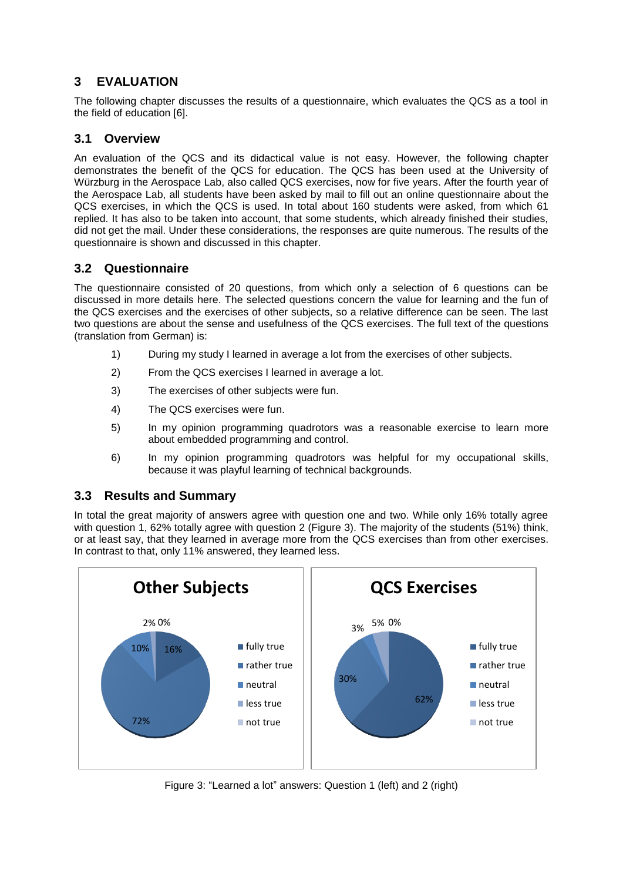## **3 EVALUATION**

The following chapter discusses the results of a questionnaire, which evaluates the QCS as a tool in the field of education [6].

### **3.1 Overview**

An evaluation of the QCS and its didactical value is not easy. However, the following chapter demonstrates the benefit of the QCS for education. The QCS has been used at the University of Würzburg in the Aerospace Lab, also called QCS exercises, now for five years. After the fourth year of the Aerospace Lab, all students have been asked by mail to fill out an online questionnaire about the QCS exercises, in which the QCS is used. In total about 160 students were asked, from which 61 replied. It has also to be taken into account, that some students, which already finished their studies, did not get the mail. Under these considerations, the responses are quite numerous. The results of the questionnaire is shown and discussed in this chapter.

## **3.2 Questionnaire**

The questionnaire consisted of 20 questions, from which only a selection of 6 questions can be discussed in more details here. The selected questions concern the value for learning and the fun of the QCS exercises and the exercises of other subjects, so a relative difference can be seen. The last two questions are about the sense and usefulness of the QCS exercises. The full text of the questions (translation from German) is:

- 1) During my study I learned in average a lot from the exercises of other subjects.
- 2) From the QCS exercises I learned in average a lot.
- 3) The exercises of other subjects were fun.
- 4) The QCS exercises were fun.
- 5) In my opinion programming quadrotors was a reasonable exercise to learn more about embedded programming and control.
- 6) In my opinion programming quadrotors was helpful for my occupational skills, because it was playful learning of technical backgrounds.

### **3.3 Results and Summary**

In total the great majority of answers agree with question one and two. While only 16% totally agree with question 1, 62% totally agree with question 2 (Figure 3). The majority of the students (51%) think, or at least say, that they learned in average more from the QCS exercises than from other exercises. In contrast to that, only 11% answered, they learned less.



Figure 3: "Learned a lot" answers: Question 1 (left) and 2 (right)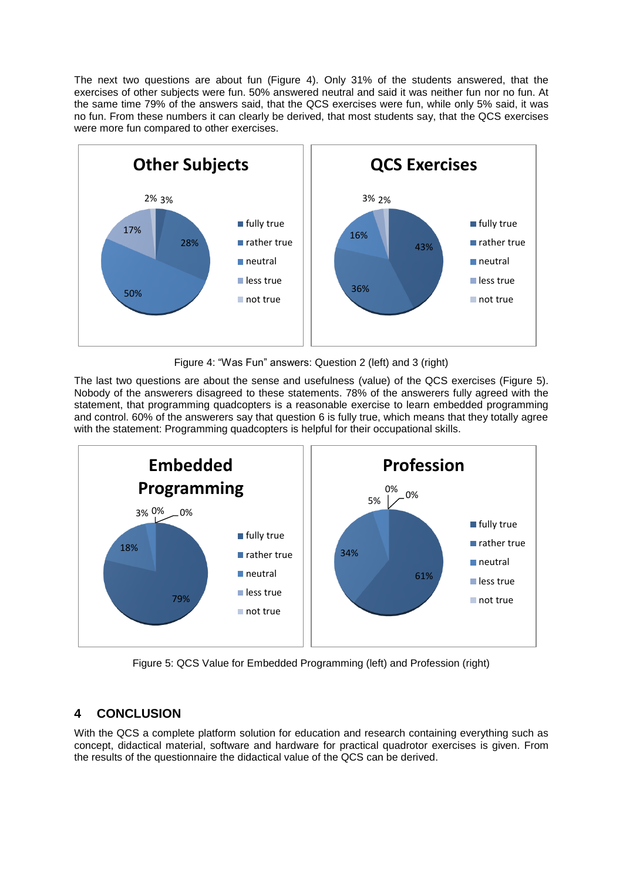The next two questions are about fun (Figure 4). Only 31% of the students answered, that the exercises of other subjects were fun. 50% answered neutral and said it was neither fun nor no fun. At the same time 79% of the answers said, that the QCS exercises were fun, while only 5% said, it was no fun. From these numbers it can clearly be derived, that most students say, that the QCS exercises were more fun compared to other exercises.



Figure 4: "Was Fun" answers: Question 2 (left) and 3 (right)

The last two questions are about the sense and usefulness (value) of the QCS exercises (Figure 5). Nobody of the answerers disagreed to these statements. 78% of the answerers fully agreed with the statement, that programming quadcopters is a reasonable exercise to learn embedded programming and control. 60% of the answerers say that question 6 is fully true, which means that they totally agree with the statement: Programming quadcopters is helpful for their occupational skills.



Figure 5: QCS Value for Embedded Programming (left) and Profession (right)

# **4 CONCLUSION**

With the QCS a complete platform solution for education and research containing everything such as concept, didactical material, software and hardware for practical quadrotor exercises is given. From the results of the questionnaire the didactical value of the QCS can be derived.